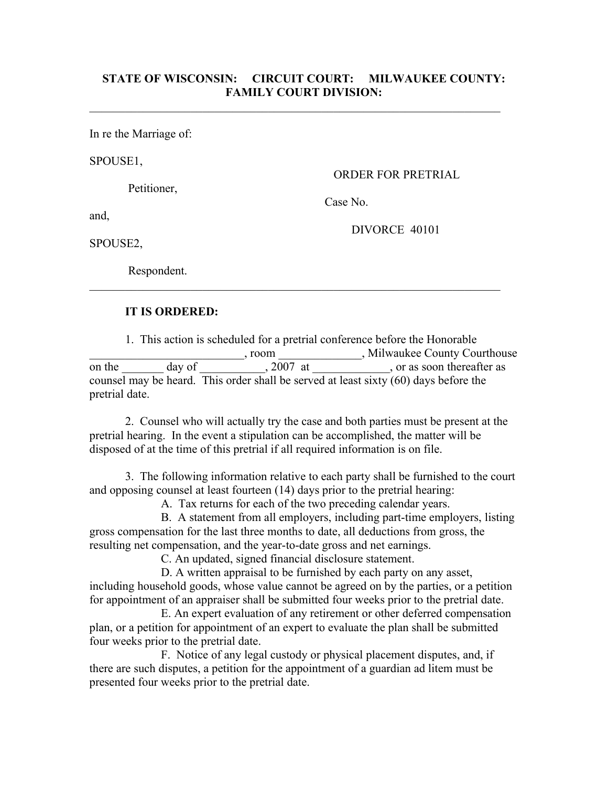## **STATE OF WISCONSIN: CIRCUIT COURT: MILWAUKEE COUNTY: FAMILY COURT DIVISION:**

 $\mathcal{L}_\text{max}$  , and the contribution of the contribution of the contribution of the contribution of the contribution of the contribution of the contribution of the contribution of the contribution of the contribution of t

In re the Marriage of:

SPOUSE1,

Petitioner,

ORDER FOR PRETRIAL

Case No.

and,

DIVORCE 40101

SPOUSE2,

Respondent.

## **IT IS ORDERED:**

1. This action is scheduled for a pretrial conference before the Honorable \_\_\_\_\_\_\_\_\_\_\_\_\_\_\_\_\_\_\_\_\_\_\_\_\_\_, room \_\_\_\_\_\_\_\_\_\_\_\_\_\_, Milwaukee County Courthouse on the day of 2007 at , or as soon thereafter as counsel may be heard. This order shall be served at least sixty (60) days before the pretrial date.

 $\mathcal{L}_\text{max}$  , and the contribution of the contribution of the contribution of the contribution of the contribution of the contribution of the contribution of the contribution of the contribution of the contribution of t

2. Counsel who will actually try the case and both parties must be present at the pretrial hearing. In the event a stipulation can be accomplished, the matter will be disposed of at the time of this pretrial if all required information is on file.

3. The following information relative to each party shall be furnished to the court and opposing counsel at least fourteen (14) days prior to the pretrial hearing:

A. Tax returns for each of the two preceding calendar years.

B. A statement from all employers, including part-time employers, listing gross compensation for the last three months to date, all deductions from gross, the resulting net compensation, and the year-to-date gross and net earnings.

C. An updated, signed financial disclosure statement.

D. A written appraisal to be furnished by each party on any asset, including household goods, whose value cannot be agreed on by the parties, or a petition for appointment of an appraiser shall be submitted four weeks prior to the pretrial date.

E. An expert evaluation of any retirement or other deferred compensation plan, or a petition for appointment of an expert to evaluate the plan shall be submitted four weeks prior to the pretrial date.

F. Notice of any legal custody or physical placement disputes, and, if there are such disputes, a petition for the appointment of a guardian ad litem must be presented four weeks prior to the pretrial date.